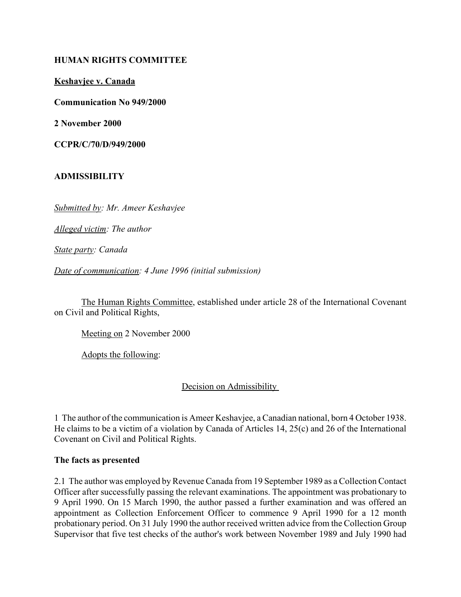## **HUMAN RIGHTS COMMITTEE**

**Keshavjee v. Canada**

**Communication No 949/2000**

**2 November 2000**

**CCPR/C/70/D/949/2000** 

### **ADMISSIBILITY**

*Submitted by: Mr. Ameer Keshavjee* 

*Alleged victim: The author* 

*State party: Canada* 

*Date of communication: 4 June 1996 (initial submission)* 

The Human Rights Committee, established under article 28 of the International Covenant on Civil and Political Rights,

Meeting on 2 November 2000

Adopts the following:

Decision on Admissibility

1 The author of the communication is Ameer Keshavjee, a Canadian national, born 4 October 1938. He claims to be a victim of a violation by Canada of Articles 14, 25(c) and 26 of the International Covenant on Civil and Political Rights.

#### **The facts as presented**

2.1 The author was employed by Revenue Canada from 19 September 1989 as a Collection Contact Officer after successfully passing the relevant examinations. The appointment was probationary to 9 April 1990. On 15 March 1990, the author passed a further examination and was offered an appointment as Collection Enforcement Officer to commence 9 April 1990 for a 12 month probationary period. On 31 July 1990 the author received written advice from the Collection Group Supervisor that five test checks of the author's work between November 1989 and July 1990 had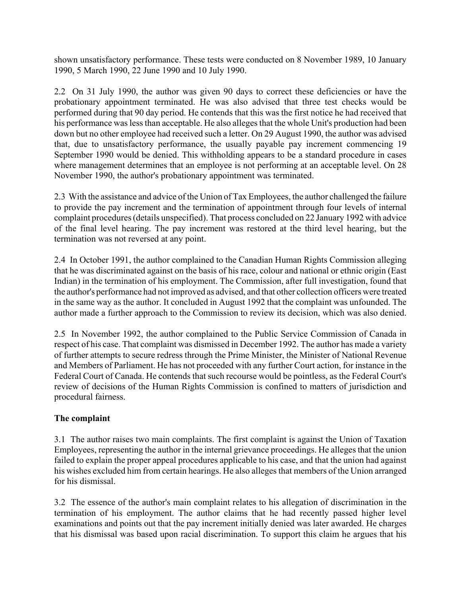shown unsatisfactory performance. These tests were conducted on 8 November 1989, 10 January 1990, 5 March 1990, 22 June 1990 and 10 July 1990.

2.2 On 31 July 1990, the author was given 90 days to correct these deficiencies or have the probationary appointment terminated. He was also advised that three test checks would be performed during that 90 day period. He contends that this was the first notice he had received that his performance was less than acceptable. He also alleges that the whole Unit's production had been down but no other employee had received such a letter. On 29 August 1990, the author was advised that, due to unsatisfactory performance, the usually payable pay increment commencing 19 September 1990 would be denied. This withholding appears to be a standard procedure in cases where management determines that an employee is not performing at an acceptable level. On 28 November 1990, the author's probationary appointment was terminated.

2.3 With the assistance and advice of the Union of Tax Employees, the author challenged the failure to provide the pay increment and the termination of appointment through four levels of internal complaint procedures (details unspecified). That process concluded on 22 January 1992 with advice of the final level hearing. The pay increment was restored at the third level hearing, but the termination was not reversed at any point.

2.4 In October 1991, the author complained to the Canadian Human Rights Commission alleging that he was discriminated against on the basis of his race, colour and national or ethnic origin (East Indian) in the termination of his employment. The Commission, after full investigation, found that the author's performance had not improved as advised, and that other collection officers were treated in the same way as the author. It concluded in August 1992 that the complaint was unfounded. The author made a further approach to the Commission to review its decision, which was also denied.

2.5 In November 1992, the author complained to the Public Service Commission of Canada in respect of his case. That complaint was dismissed in December 1992. The author has made a variety of further attempts to secure redress through the Prime Minister, the Minister of National Revenue and Members of Parliament. He has not proceeded with any further Court action, for instance in the Federal Court of Canada. He contends that such recourse would be pointless, as the Federal Court's review of decisions of the Human Rights Commission is confined to matters of jurisdiction and procedural fairness.

## **The complaint**

3.1 The author raises two main complaints. The first complaint is against the Union of Taxation Employees, representing the author in the internal grievance proceedings. He alleges that the union failed to explain the proper appeal procedures applicable to his case, and that the union had against his wishes excluded him from certain hearings. He also alleges that members of the Union arranged for his dismissal.

3.2 The essence of the author's main complaint relates to his allegation of discrimination in the termination of his employment. The author claims that he had recently passed higher level examinations and points out that the pay increment initially denied was later awarded. He charges that his dismissal was based upon racial discrimination. To support this claim he argues that his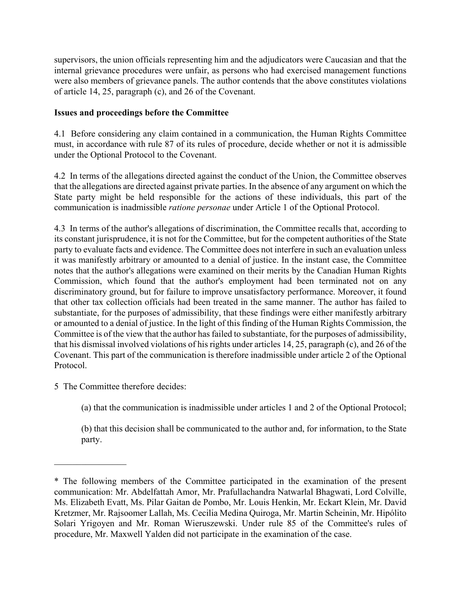supervisors, the union officials representing him and the adjudicators were Caucasian and that the internal grievance procedures were unfair, as persons who had exercised management functions were also members of grievance panels. The author contends that the above constitutes violations of article 14, 25, paragraph (c), and 26 of the Covenant.

# **Issues and proceedings before the Committee**

4.1 Before considering any claim contained in a communication, the Human Rights Committee must, in accordance with rule 87 of its rules of procedure, decide whether or not it is admissible under the Optional Protocol to the Covenant.

4.2 In terms of the allegations directed against the conduct of the Union, the Committee observes that the allegations are directed against private parties. In the absence of any argument on which the State party might be held responsible for the actions of these individuals, this part of the communication is inadmissible *ratione personae* under Article 1 of the Optional Protocol.

4.3 In terms of the author's allegations of discrimination, the Committee recalls that, according to its constant jurisprudence, it is not for the Committee, but for the competent authorities of the State party to evaluate facts and evidence. The Committee does not interfere in such an evaluation unless it was manifestly arbitrary or amounted to a denial of justice. In the instant case, the Committee notes that the author's allegations were examined on their merits by the Canadian Human Rights Commission, which found that the author's employment had been terminated not on any discriminatory ground, but for failure to improve unsatisfactory performance. Moreover, it found that other tax collection officials had been treated in the same manner. The author has failed to substantiate, for the purposes of admissibility, that these findings were either manifestly arbitrary or amounted to a denial of justice. In the light of this finding of the Human Rights Commission, the Committee is of the view that the author has failed to substantiate, for the purposes of admissibility, that his dismissal involved violations of his rights under articles 14, 25, paragraph (c), and 26 of the Covenant. This part of the communication is therefore inadmissible under article 2 of the Optional Protocol.

5 The Committee therefore decides:

 $\frac{1}{2}$ 

(a) that the communication is inadmissible under articles 1 and 2 of the Optional Protocol;

(b) that this decision shall be communicated to the author and, for information, to the State party.

<sup>\*</sup> The following members of the Committee participated in the examination of the present communication: Mr. Abdelfattah Amor, Mr. Prafullachandra Natwarlal Bhagwati, Lord Colville, Ms. Elizabeth Evatt, Ms. Pilar Gaitan de Pombo, Mr. Louis Henkin, Mr. Eckart Klein, Mr. David Kretzmer, Mr. Rajsoomer Lallah, Ms. Cecilia Medina Quiroga, Mr. Martin Scheinin, Mr. Hipólito Solari Yrigoyen and Mr. Roman Wieruszewski. Under rule 85 of the Committee's rules of procedure, Mr. Maxwell Yalden did not participate in the examination of the case.